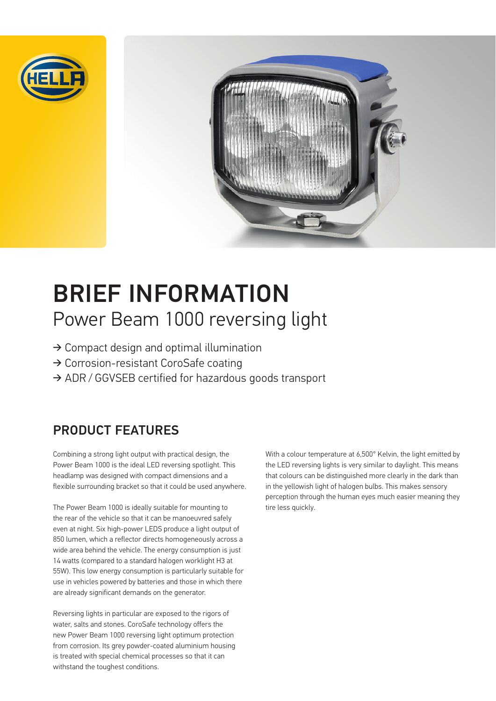



# BRIEF INFORMATION Power Beam 1000 reversing light

- ➔ Compact design and optimal illumination
- ➔ Corrosion-resistant CoroSafe coating
- → ADR / GGVSEB certified for hazardous goods transport

# PRODUCT FEATURES

Combining a strong light output with practical design, the Power Beam 1000 is the ideal LED reversing spotlight. This headlamp was designed with compact dimensions and a flexible surrounding bracket so that it could be used anywhere.

The Power Beam 1000 is ideally suitable for mounting to the rear of the vehicle so that it can be manoeuvred safely even at night. Six high-power LEDS produce a light output of 850 lumen, which a reflector directs homogeneously across a wide area behind the vehicle. The energy consumption is just 14 watts (compared to a standard halogen worklight H3 at 55W). This low energy consumption is particularly suitable for use in vehicles powered by batteries and those in which there are already significant demands on the generator.

Reversing lights in particular are exposed to the rigors of water, salts and stones. CoroSafe technology offers the new Power Beam 1000 reversing light optimum protection from corrosion. Its grey powder-coated aluminium housing is treated with special chemical processes so that it can withstand the toughest conditions.

With a colour temperature at 6,500° Kelvin, the light emitted by the LED reversing lights is very similar to daylight. This means that colours can be distinguished more clearly in the dark than in the yellowish light of halogen bulbs. This makes sensory perception through the human eyes much easier meaning they tire less quickly.